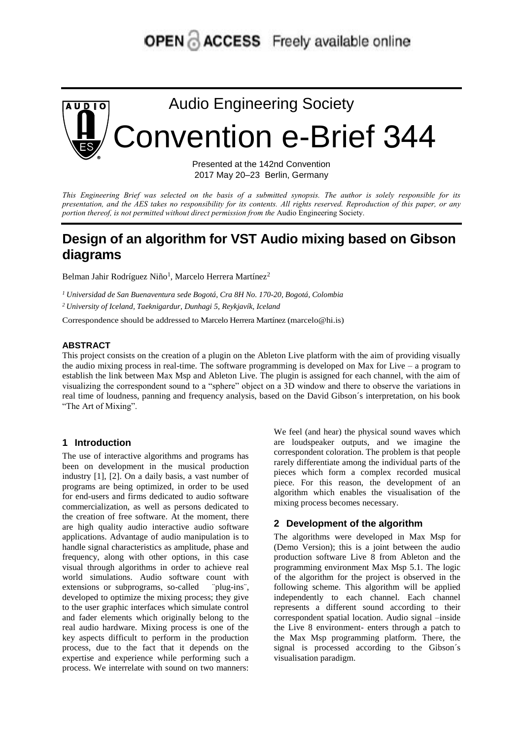# **OPEN & ACCESS** Freely available online



Presented at the 142nd Convention 2017 May 20–23 Berlin, Germany

This Engineering Brief was selected on the basis of a submitted synopsis. The author is solely responsible for its presentation, and the AES takes no responsibility for its contents. All rights reserved. Reproduction of this paper, or any *portion thereof, is not permitted without direct permission from the* Audio Engineering Society.

# **Design of an algorithm for VST Audio mixing based on Gibson diagrams**

Belman Jahir Rodríguez Niño<sup>1</sup>, Marcelo Herrera Martínez<sup>2</sup>

*<sup>1</sup> Universidad de San Buenaventura sede Bogotá, Cra 8H No. 170-20, Bogotá, Colombia*

*<sup>2</sup> University of Iceland, Taeknigardur, Dunhagi 5, Reykjavík, Iceland*

Correspondence should be addressed to Marcelo Herrera Martínez (marcelo@hi.is)

#### **ABSTRACT**

This project consists on the creation of a plugin on the Ableton Live platform with the aim of providing visually the audio mixing process in real-time. The software programming is developed on Max for Live – a program to establish the link between Max Msp and Ableton Live. The plugin is assigned for each channel, with the aim of visualizing the correspondent sound to a "sphere" object on a 3D window and there to observe the variations in real time of loudness, panning and frequency analysis, based on the David Gibson´s interpretation, on his book "The Art of Mixing".

#### **1 Introduction**

The use of interactive algorithms and programs has been on development in the musical production industry [1], [2]. On a daily basis, a vast number of programs are being optimized, in order to be used for end-users and firms dedicated to audio software commercialization, as well as persons dedicated to the creation of free software. At the moment, there are high quality audio interactive audio software applications. Advantage of audio manipulation is to handle signal characteristics as amplitude, phase and frequency, along with other options, in this case visual through algorithms in order to achieve real world simulations. Audio software count with extensions or subprograms, so-called "plug-ins", developed to optimize the mixing process; they give to the user graphic interfaces which simulate control and fader elements which originally belong to the real audio hardware. Mixing process is one of the key aspects difficult to perform in the production process, due to the fact that it depends on the expertise and experience while performing such a process. We interrelate with sound on two manners:

We feel (and hear) the physical sound waves which are loudspeaker outputs, and we imagine the correspondent coloration. The problem is that people rarely differentiate among the individual parts of the pieces which form a complex recorded musical piece. For this reason, the development of an algorithm which enables the visualisation of the mixing process becomes necessary.

#### **2 Development of the algorithm**

The algorithms were developed in Max Msp for (Demo Version); this is a joint between the audio production software Live 8 from Ableton and the programming environment Max Msp 5.1. The logic of the algorithm for the project is observed in the following scheme. This algorithm will be applied independently to each channel. Each channel represents a different sound according to their correspondent spatial location. Audio signal –inside the Live 8 environment- enters through a patch to the Max Msp programming platform. There, the signal is processed according to the Gibson´s visualisation paradigm.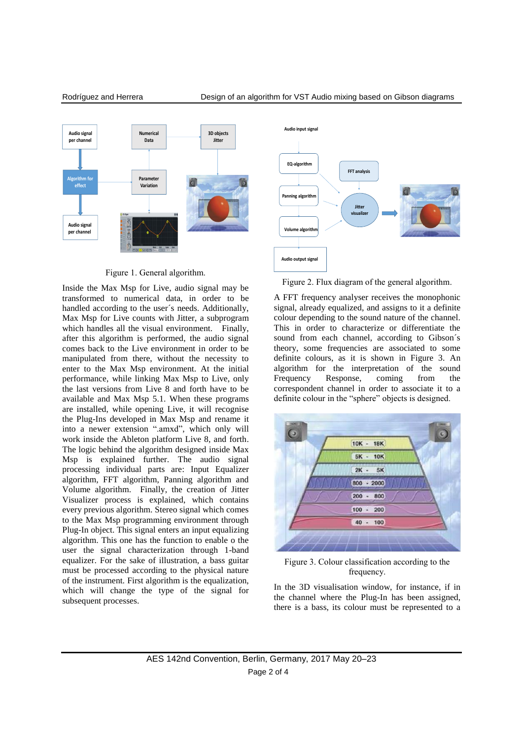

Figure 1. General algorithm.

Inside the Max Msp for Live, audio signal may be transformed to numerical data, in order to be handled according to the user´s needs. Additionally, Max Msp for Live counts with Jitter, a subprogram which handles all the visual environment. Finally, after this algorithm is performed, the audio signal comes back to the Live environment in order to be manipulated from there, without the necessity to enter to the Max Msp environment. At the initial performance, while linking Max Msp to Live, only the last versions from Live 8 and forth have to be available and Max Msp 5.1. When these programs are installed, while opening Live, it will recognise the Plug-Ins developed in Max Msp and rename it into a newer extension ".amxd", which only will work inside the Ableton platform Live 8, and forth. The logic behind the algorithm designed inside Max Msp is explained further. The audio signal processing individual parts are: Input Equalizer algorithm, FFT algorithm, Panning algorithm and Volume algorithm. Finally, the creation of Jitter Visualizer process is explained, which contains every previous algorithm. Stereo signal which comes to the Max Msp programming environment through Plug-In object. This signal enters an input equalizing algorithm. This one has the function to enable o the user the signal characterization through 1-band equalizer. For the sake of illustration, a bass guitar must be processed according to the physical nature of the instrument. First algorithm is the equalization, which will change the type of the signal for subsequent processes.



Figure 2. Flux diagram of the general algorithm.

A FFT frequency analyser receives the monophonic signal, already equalized, and assigns to it a definite colour depending to the sound nature of the channel. This in order to characterize or differentiate the sound from each channel, according to Gibson´s theory, some frequencies are associated to some definite colours, as it is shown in Figure 3. An algorithm for the interpretation of the sound Frequency Response, coming from the correspondent channel in order to associate it to a definite colour in the "sphere" objects is designed.



Figure 3. Colour classification according to the frequency.

In the 3D visualisation window, for instance, if in the channel where the Plug-In has been assigned, there is a bass, its colour must be represented to a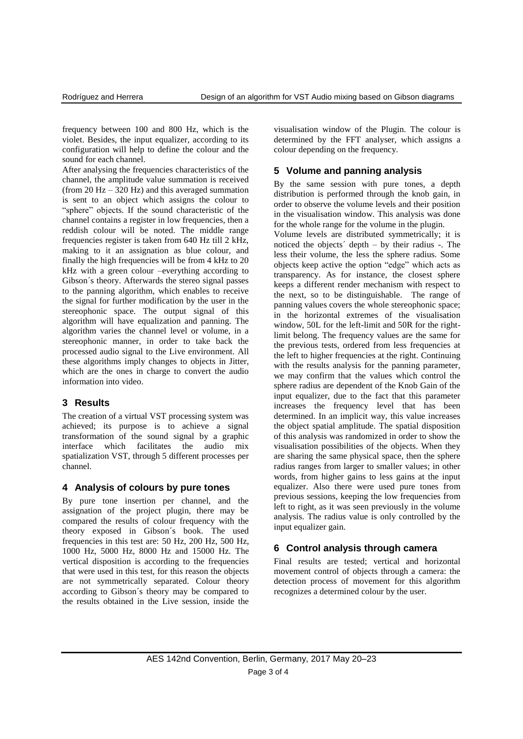frequency between 100 and 800 Hz, which is the violet. Besides, the input equalizer, according to its configuration will help to define the colour and the sound for each channel.

After analysing the frequencies characteristics of the channel, the amplitude value summation is received (from  $20$  Hz – 320 Hz) and this averaged summation is sent to an object which assigns the colour to "sphere" objects. If the sound characteristic of the channel contains a register in low frequencies, then a reddish colour will be noted. The middle range frequencies register is taken from 640 Hz till 2 kHz, making to it an assignation as blue colour, and finally the high frequencies will be from 4 kHz to 20 kHz with a green colour –everything according to Gibson´s theory. Afterwards the stereo signal passes to the panning algorithm, which enables to receive the signal for further modification by the user in the stereophonic space. The output signal of this algorithm will have equalization and panning. The algorithm varies the channel level or volume, in a stereophonic manner, in order to take back the processed audio signal to the Live environment. All these algorithms imply changes to objects in Jitter, which are the ones in charge to convert the audio information into video.

### **3 Results**

The creation of a virtual VST processing system was achieved; its purpose is to achieve a signal transformation of the sound signal by a graphic interface which facilitates the audio mix spatialization VST, through 5 different processes per channel.

### **4 Analysis of colours by pure tones**

By pure tone insertion per channel, and the assignation of the project plugin, there may be compared the results of colour frequency with the theory exposed in Gibson´s book. The used frequencies in this test are: 50 Hz, 200 Hz, 500 Hz, 1000 Hz, 5000 Hz, 8000 Hz and 15000 Hz. The vertical disposition is according to the frequencies that were used in this test, for this reason the objects are not symmetrically separated. Colour theory according to Gibson´s theory may be compared to the results obtained in the Live session, inside the

visualisation window of the Plugin. The colour is determined by the FFT analyser, which assigns a colour depending on the frequency.

#### **5 Volume and panning analysis**

By the same session with pure tones, a depth distribution is performed through the knob gain, in order to observe the volume levels and their position in the visualisation window. This analysis was done for the whole range for the volume in the plugin.

Volume levels are distributed symmetrically; it is noticed the objects´ depth – by their radius -. The less their volume, the less the sphere radius. Some objects keep active the option "edge" which acts as transparency. As for instance, the closest sphere keeps a different render mechanism with respect to the next, so to be distinguishable. The range of panning values covers the whole stereophonic space; in the horizontal extremes of the visualisation window, 50L for the left-limit and 50R for the rightlimit belong. The frequency values are the same for the previous tests, ordered from less frequencies at the left to higher frequencies at the right. Continuing with the results analysis for the panning parameter, we may confirm that the values which control the sphere radius are dependent of the Knob Gain of the input equalizer, due to the fact that this parameter increases the frequency level that has been determined. In an implicit way, this value increases the object spatial amplitude. The spatial disposition of this analysis was randomized in order to show the visualisation possibilities of the objects. When they are sharing the same physical space, then the sphere radius ranges from larger to smaller values; in other words, from higher gains to less gains at the input equalizer. Also there were used pure tones from previous sessions, keeping the low frequencies from left to right, as it was seen previously in the volume analysis. The radius value is only controlled by the input equalizer gain.

#### **6 Control analysis through camera**

Final results are tested; vertical and horizontal movement control of objects through a camera: the detection process of movement for this algorithm recognizes a determined colour by the user.